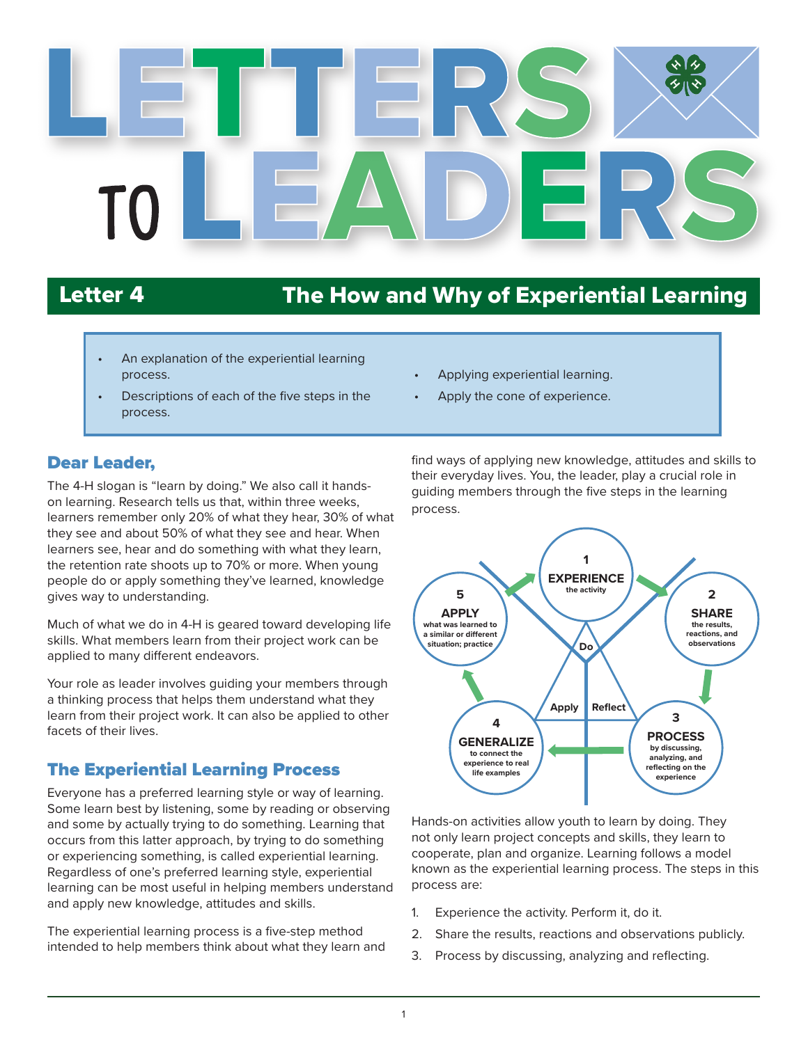

# Letter 4 The How and Why of Experiential Learning

- An explanation of the experiential learning process.
- Descriptions of each of the five steps in the process.
- Dear Leader,

The 4-H slogan is "learn by doing." We also call it handson learning. Research tells us that, within three weeks, learners remember only 20% of what they hear, 30% of what they see and about 50% of what they see and hear. When learners see, hear and do something with what they learn, the retention rate shoots up to 70% or more. When young people do or apply something they've learned, knowledge gives way to understanding.

Much of what we do in 4-H is geared toward developing life skills. What members learn from their project work can be applied to many different endeavors.

Your role as leader involves guiding your members through a thinking process that helps them understand what they learn from their project work. It can also be applied to other facets of their lives.

#### The Experiential Learning Process

Everyone has a preferred learning style or way of learning. Some learn best by listening, some by reading or observing and some by actually trying to do something. Learning that occurs from this latter approach, by trying to do something or experiencing something, is called experiential learning. Regardless of one's preferred learning style, experiential learning can be most useful in helping members understand and apply new knowledge, attitudes and skills.

The experiential learning process is a five-step method intended to help members think about what they learn and

- Applying experiential learning.
- Apply the cone of experience.

find ways of applying new knowledge, attitudes and skills to their everyday lives. You, the leader, play a crucial role in guiding members through the five steps in the learning process.



Hands-on activities allow youth to learn by doing. They not only learn project concepts and skills, they learn to cooperate, plan and organize. Learning follows a model known as the experiential learning process. The steps in this process are:

- 1. Experience the activity. Perform it, do it.
- 2. Share the results, reactions and observations publicly.
- 3. Process by discussing, analyzing and reflecting.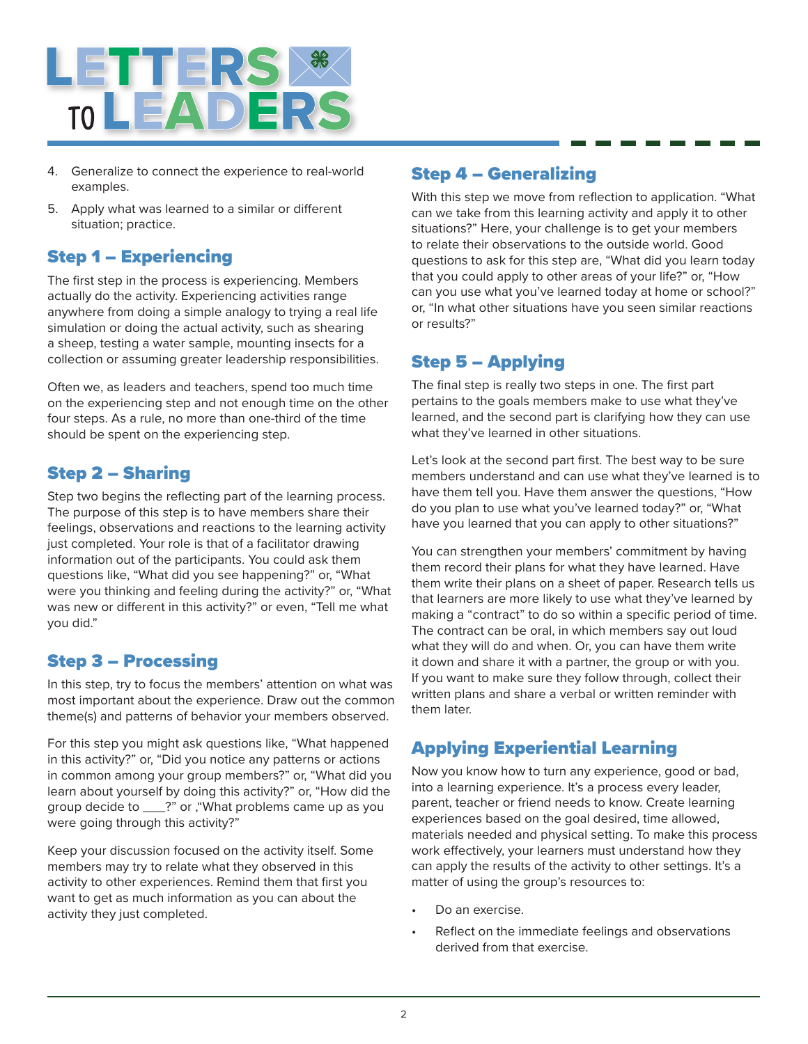

- 4. Generalize to connect the experience to real-world examples.
- 5. Apply what was learned to a similar or different situation; practice.

#### Step 1 – Experiencing

The first step in the process is experiencing. Members actually do the activity. Experiencing activities range anywhere from doing a simple analogy to trying a real life simulation or doing the actual activity, such as shearing a sheep, testing a water sample, mounting insects for a collection or assuming greater leadership responsibilities.

Often we, as leaders and teachers, spend too much time on the experiencing step and not enough time on the other four steps. As a rule, no more than one-third of the time should be spent on the experiencing step.

#### Step 2 – Sharing

Step two begins the reflecting part of the learning process. The purpose of this step is to have members share their feelings, observations and reactions to the learning activity just completed. Your role is that of a facilitator drawing information out of the participants. You could ask them questions like, "What did you see happening?" or, "What were you thinking and feeling during the activity?" or, "What was new or different in this activity?" or even, "Tell me what you did."

#### Step 3 – Processing

In this step, try to focus the members' attention on what was most important about the experience. Draw out the common theme(s) and patterns of behavior your members observed.

For this step you might ask questions like, "What happened in this activity?" or, "Did you notice any patterns or actions in common among your group members?" or, "What did you learn about yourself by doing this activity?" or, "How did the group decide to \_\_\_?" or ,"What problems came up as you were going through this activity?"

Keep your discussion focused on the activity itself. Some members may try to relate what they observed in this activity to other experiences. Remind them that first you want to get as much information as you can about the activity they just completed.

#### Step 4 – Generalizing

With this step we move from reflection to application. "What can we take from this learning activity and apply it to other situations?" Here, your challenge is to get your members to relate their observations to the outside world. Good questions to ask for this step are, "What did you learn today that you could apply to other areas of your life?" or, "How can you use what you've learned today at home or school?" or, "In what other situations have you seen similar reactions or results?"

### Step 5 – Applying

The final step is really two steps in one. The first part pertains to the goals members make to use what they've learned, and the second part is clarifying how they can use what they've learned in other situations.

Let's look at the second part first. The best way to be sure members understand and can use what they've learned is to have them tell you. Have them answer the questions, "How do you plan to use what you've learned today?" or, "What have you learned that you can apply to other situations?"

You can strengthen your members' commitment by having them record their plans for what they have learned. Have them write their plans on a sheet of paper. Research tells us that learners are more likely to use what they've learned by making a "contract" to do so within a specific period of time. The contract can be oral, in which members say out loud what they will do and when. Or, you can have them write it down and share it with a partner, the group or with you. If you want to make sure they follow through, collect their written plans and share a verbal or written reminder with them later.

### Applying Experiential Learning

Now you know how to turn any experience, good or bad, into a learning experience. It's a process every leader, parent, teacher or friend needs to know. Create learning experiences based on the goal desired, time allowed, materials needed and physical setting. To make this process work effectively, your learners must understand how they can apply the results of the activity to other settings. It's a matter of using the group's resources to:

- Do an exercise.
- Reflect on the immediate feelings and observations derived from that exercise.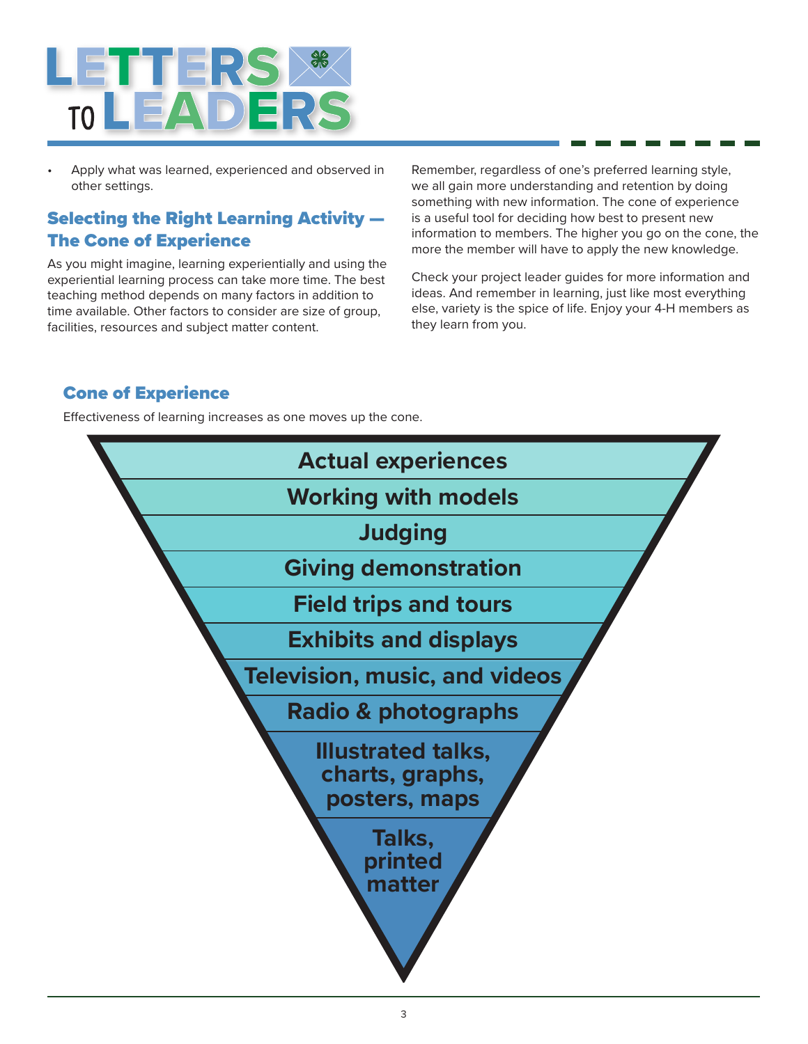

• Apply what was learned, experienced and observed in other settings.

#### Selecting the Right Learning Activity — The Cone of Experience

As you might imagine, learning experientially and using the experiential learning process can take more time. The best teaching method depends on many factors in addition to time available. Other factors to consider are size of group, facilities, resources and subject matter content.

Remember, regardless of one's preferred learning style, we all gain more understanding and retention by doing something with new information. The cone of experience is a useful tool for deciding how best to present new information to members. The higher you go on the cone, the more the member will have to apply the new knowledge.

Check your project leader guides for more information and ideas. And remember in learning, just like most everything else, variety is the spice of life. Enjoy your 4-H members as they learn from you.

#### Cone of Experience

Effectiveness of learning increases as one moves up the cone.